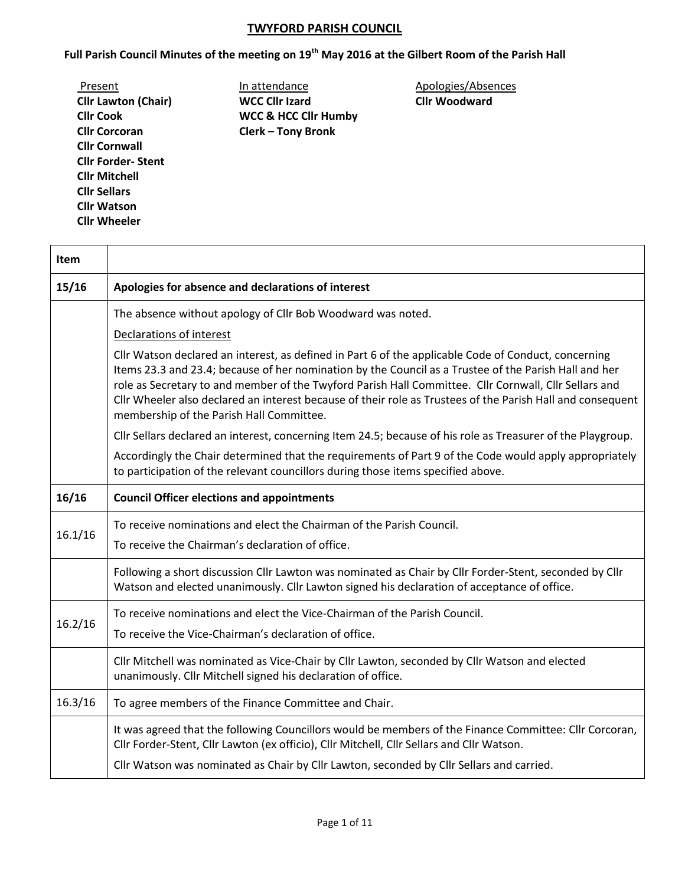## **TWYFORD PARISH COUNCIL**

**Full Parish Council Minutes of the meeting on 19th May 2016 at the Gilbert Room of the Parish Hall**

| Present                    |
|----------------------------|
| <b>Cllr Lawton (Chair)</b> |
| <b>Cllr Cook</b>           |
| <b>Cllr Corcoran</b>       |
| <b>Cllr Cornwall</b>       |
| <b>Cllr Forder-Stent</b>   |
| <b>Clir Mitchell</b>       |
| <b>Cllr Sellars</b>        |
| <b>Cllr Watson</b>         |
| <b>Cllr Wheeler</b>        |

**Cllr Lawton (Chair) WCC Cllr Izard Cllr Woodward WCC & HCC Cllr Humby Clerk – Tony Bronk** 

Present **In attendance Apologies/Absences** 

| <b>Item</b> |                                                                                                                                                                                                                                                                                                                                                                                                                                                                                  |  |  |  |  |  |  |
|-------------|----------------------------------------------------------------------------------------------------------------------------------------------------------------------------------------------------------------------------------------------------------------------------------------------------------------------------------------------------------------------------------------------------------------------------------------------------------------------------------|--|--|--|--|--|--|
| 15/16       | Apologies for absence and declarations of interest                                                                                                                                                                                                                                                                                                                                                                                                                               |  |  |  |  |  |  |
|             | The absence without apology of Cllr Bob Woodward was noted.                                                                                                                                                                                                                                                                                                                                                                                                                      |  |  |  |  |  |  |
|             | Declarations of interest                                                                                                                                                                                                                                                                                                                                                                                                                                                         |  |  |  |  |  |  |
|             | Cllr Watson declared an interest, as defined in Part 6 of the applicable Code of Conduct, concerning<br>Items 23.3 and 23.4; because of her nomination by the Council as a Trustee of the Parish Hall and her<br>role as Secretary to and member of the Twyford Parish Hall Committee. Cllr Cornwall, Cllr Sellars and<br>Cllr Wheeler also declared an interest because of their role as Trustees of the Parish Hall and consequent<br>membership of the Parish Hall Committee. |  |  |  |  |  |  |
|             | Cllr Sellars declared an interest, concerning Item 24.5; because of his role as Treasurer of the Playgroup.                                                                                                                                                                                                                                                                                                                                                                      |  |  |  |  |  |  |
|             | Accordingly the Chair determined that the requirements of Part 9 of the Code would apply appropriately<br>to participation of the relevant councillors during those items specified above.                                                                                                                                                                                                                                                                                       |  |  |  |  |  |  |
| 16/16       | <b>Council Officer elections and appointments</b>                                                                                                                                                                                                                                                                                                                                                                                                                                |  |  |  |  |  |  |
| 16.1/16     | To receive nominations and elect the Chairman of the Parish Council.<br>To receive the Chairman's declaration of office.                                                                                                                                                                                                                                                                                                                                                         |  |  |  |  |  |  |
|             | Following a short discussion Cllr Lawton was nominated as Chair by Cllr Forder-Stent, seconded by Cllr<br>Watson and elected unanimously. Cllr Lawton signed his declaration of acceptance of office.                                                                                                                                                                                                                                                                            |  |  |  |  |  |  |
| 16.2/16     | To receive nominations and elect the Vice-Chairman of the Parish Council.<br>To receive the Vice-Chairman's declaration of office.                                                                                                                                                                                                                                                                                                                                               |  |  |  |  |  |  |
|             | Cllr Mitchell was nominated as Vice-Chair by Cllr Lawton, seconded by Cllr Watson and elected<br>unanimously. Cllr Mitchell signed his declaration of office.                                                                                                                                                                                                                                                                                                                    |  |  |  |  |  |  |
| 16.3/16     | To agree members of the Finance Committee and Chair.                                                                                                                                                                                                                                                                                                                                                                                                                             |  |  |  |  |  |  |
|             | It was agreed that the following Councillors would be members of the Finance Committee: Cllr Corcoran,<br>Cllr Forder-Stent, Cllr Lawton (ex officio), Cllr Mitchell, Cllr Sellars and Cllr Watson.                                                                                                                                                                                                                                                                              |  |  |  |  |  |  |
|             | Cllr Watson was nominated as Chair by Cllr Lawton, seconded by Cllr Sellars and carried.                                                                                                                                                                                                                                                                                                                                                                                         |  |  |  |  |  |  |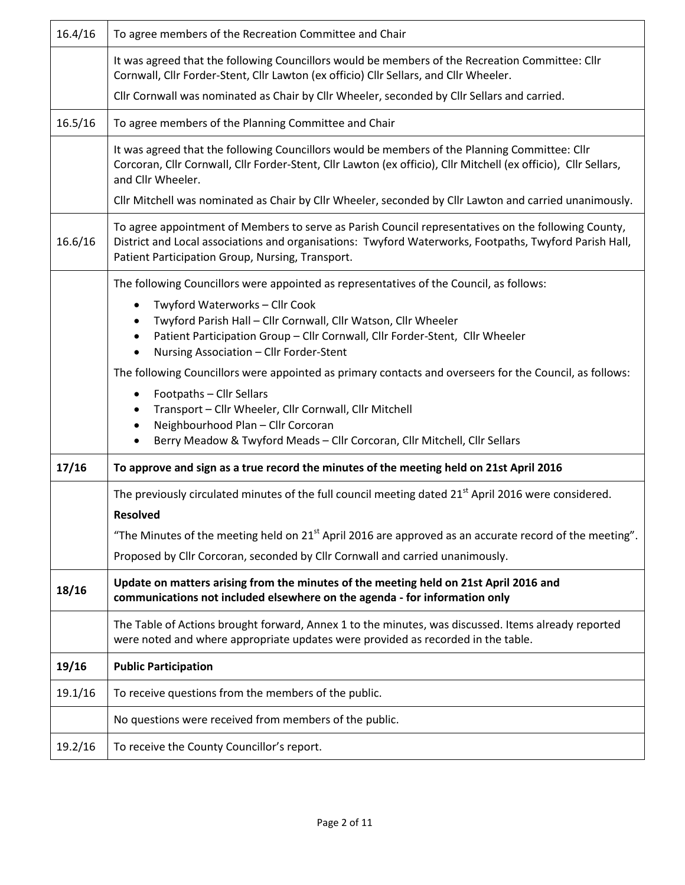| 16.4/16 | To agree members of the Recreation Committee and Chair                                                                                                                                                                                                            |  |  |  |  |  |
|---------|-------------------------------------------------------------------------------------------------------------------------------------------------------------------------------------------------------------------------------------------------------------------|--|--|--|--|--|
|         | It was agreed that the following Councillors would be members of the Recreation Committee: Cllr<br>Cornwall, Cllr Forder-Stent, Cllr Lawton (ex officio) Cllr Sellars, and Cllr Wheeler.                                                                          |  |  |  |  |  |
|         | Cllr Cornwall was nominated as Chair by Cllr Wheeler, seconded by Cllr Sellars and carried.                                                                                                                                                                       |  |  |  |  |  |
| 16.5/16 | To agree members of the Planning Committee and Chair                                                                                                                                                                                                              |  |  |  |  |  |
|         | It was agreed that the following Councillors would be members of the Planning Committee: Cllr<br>Corcoran, Cllr Cornwall, Cllr Forder-Stent, Cllr Lawton (ex officio), Cllr Mitchell (ex officio), Cllr Sellars,<br>and Cllr Wheeler.                             |  |  |  |  |  |
|         | Cllr Mitchell was nominated as Chair by Cllr Wheeler, seconded by Cllr Lawton and carried unanimously.                                                                                                                                                            |  |  |  |  |  |
| 16.6/16 | To agree appointment of Members to serve as Parish Council representatives on the following County,<br>District and Local associations and organisations: Twyford Waterworks, Footpaths, Twyford Parish Hall,<br>Patient Participation Group, Nursing, Transport. |  |  |  |  |  |
|         | The following Councillors were appointed as representatives of the Council, as follows:                                                                                                                                                                           |  |  |  |  |  |
|         | Twyford Waterworks - Cllr Cook                                                                                                                                                                                                                                    |  |  |  |  |  |
|         | Twyford Parish Hall - Cllr Cornwall, Cllr Watson, Cllr Wheeler                                                                                                                                                                                                    |  |  |  |  |  |
|         | Patient Participation Group - Cllr Cornwall, Cllr Forder-Stent, Cllr Wheeler<br>Nursing Association - Cllr Forder-Stent                                                                                                                                           |  |  |  |  |  |
|         | The following Councillors were appointed as primary contacts and overseers for the Council, as follows:                                                                                                                                                           |  |  |  |  |  |
|         | Footpaths - Cllr Sellars<br>٠                                                                                                                                                                                                                                     |  |  |  |  |  |
|         | Transport - Cllr Wheeler, Cllr Cornwall, Cllr Mitchell                                                                                                                                                                                                            |  |  |  |  |  |
|         | Neighbourhood Plan - Cllr Corcoran<br>Berry Meadow & Twyford Meads - Cllr Corcoran, Cllr Mitchell, Cllr Sellars                                                                                                                                                   |  |  |  |  |  |
|         |                                                                                                                                                                                                                                                                   |  |  |  |  |  |
| 17/16   | To approve and sign as a true record the minutes of the meeting held on 21st April 2016                                                                                                                                                                           |  |  |  |  |  |
|         | The previously circulated minutes of the full council meeting dated 21 <sup>st</sup> April 2016 were considered.                                                                                                                                                  |  |  |  |  |  |
|         | <b>Resolved</b>                                                                                                                                                                                                                                                   |  |  |  |  |  |
|         | "The Minutes of the meeting held on $21st$ April 2016 are approved as an accurate record of the meeting".                                                                                                                                                         |  |  |  |  |  |
|         | Proposed by Cllr Corcoran, seconded by Cllr Cornwall and carried unanimously.                                                                                                                                                                                     |  |  |  |  |  |
| 18/16   | Update on matters arising from the minutes of the meeting held on 21st April 2016 and<br>communications not included elsewhere on the agenda - for information only                                                                                               |  |  |  |  |  |
|         | The Table of Actions brought forward, Annex 1 to the minutes, was discussed. Items already reported<br>were noted and where appropriate updates were provided as recorded in the table.                                                                           |  |  |  |  |  |
| 19/16   | <b>Public Participation</b>                                                                                                                                                                                                                                       |  |  |  |  |  |
| 19.1/16 | To receive questions from the members of the public.                                                                                                                                                                                                              |  |  |  |  |  |
|         | No questions were received from members of the public.                                                                                                                                                                                                            |  |  |  |  |  |
| 19.2/16 | To receive the County Councillor's report.                                                                                                                                                                                                                        |  |  |  |  |  |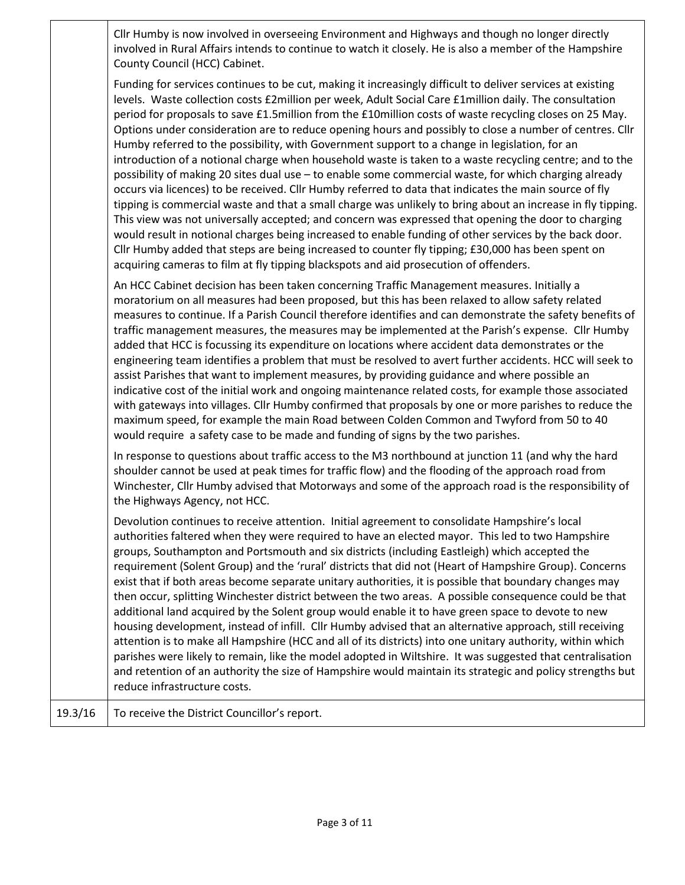|         | Cllr Humby is now involved in overseeing Environment and Highways and though no longer directly<br>involved in Rural Affairs intends to continue to watch it closely. He is also a member of the Hampshire<br>County Council (HCC) Cabinet.                                                                                                                                                                                                                                                                                                                                                                                                                                                                                                                                                                                                                                                                                                                                                                                                                                                                                                                                                                                                                                                                                                                                                             |
|---------|---------------------------------------------------------------------------------------------------------------------------------------------------------------------------------------------------------------------------------------------------------------------------------------------------------------------------------------------------------------------------------------------------------------------------------------------------------------------------------------------------------------------------------------------------------------------------------------------------------------------------------------------------------------------------------------------------------------------------------------------------------------------------------------------------------------------------------------------------------------------------------------------------------------------------------------------------------------------------------------------------------------------------------------------------------------------------------------------------------------------------------------------------------------------------------------------------------------------------------------------------------------------------------------------------------------------------------------------------------------------------------------------------------|
|         | Funding for services continues to be cut, making it increasingly difficult to deliver services at existing<br>levels. Waste collection costs £2million per week, Adult Social Care £1million daily. The consultation<br>period for proposals to save £1.5million from the £10million costs of waste recycling closes on 25 May.<br>Options under consideration are to reduce opening hours and possibly to close a number of centres. Cllr<br>Humby referred to the possibility, with Government support to a change in legislation, for an<br>introduction of a notional charge when household waste is taken to a waste recycling centre; and to the<br>possibility of making 20 sites dual use - to enable some commercial waste, for which charging already<br>occurs via licences) to be received. Cllr Humby referred to data that indicates the main source of fly<br>tipping is commercial waste and that a small charge was unlikely to bring about an increase in fly tipping.<br>This view was not universally accepted; and concern was expressed that opening the door to charging<br>would result in notional charges being increased to enable funding of other services by the back door.<br>Cllr Humby added that steps are being increased to counter fly tipping; £30,000 has been spent on<br>acquiring cameras to film at fly tipping blackspots and aid prosecution of offenders. |
|         | An HCC Cabinet decision has been taken concerning Traffic Management measures. Initially a<br>moratorium on all measures had been proposed, but this has been relaxed to allow safety related<br>measures to continue. If a Parish Council therefore identifies and can demonstrate the safety benefits of<br>traffic management measures, the measures may be implemented at the Parish's expense. Cllr Humby<br>added that HCC is focussing its expenditure on locations where accident data demonstrates or the<br>engineering team identifies a problem that must be resolved to avert further accidents. HCC will seek to<br>assist Parishes that want to implement measures, by providing guidance and where possible an<br>indicative cost of the initial work and ongoing maintenance related costs, for example those associated<br>with gateways into villages. Cllr Humby confirmed that proposals by one or more parishes to reduce the<br>maximum speed, for example the main Road between Colden Common and Twyford from 50 to 40<br>would require a safety case to be made and funding of signs by the two parishes.                                                                                                                                                                                                                                                                     |
|         | In response to questions about traffic access to the M3 northbound at junction 11 (and why the hard<br>shoulder cannot be used at peak times for traffic flow) and the flooding of the approach road from<br>Winchester, Cllr Humby advised that Motorways and some of the approach road is the responsibility of<br>the Highways Agency, not HCC.                                                                                                                                                                                                                                                                                                                                                                                                                                                                                                                                                                                                                                                                                                                                                                                                                                                                                                                                                                                                                                                      |
|         | Devolution continues to receive attention. Initial agreement to consolidate Hampshire's local<br>authorities faltered when they were required to have an elected mayor. This led to two Hampshire<br>groups, Southampton and Portsmouth and six districts (including Eastleigh) which accepted the<br>requirement (Solent Group) and the 'rural' districts that did not (Heart of Hampshire Group). Concerns<br>exist that if both areas become separate unitary authorities, it is possible that boundary changes may<br>then occur, splitting Winchester district between the two areas. A possible consequence could be that<br>additional land acquired by the Solent group would enable it to have green space to devote to new<br>housing development, instead of infill. Cllr Humby advised that an alternative approach, still receiving<br>attention is to make all Hampshire (HCC and all of its districts) into one unitary authority, within which<br>parishes were likely to remain, like the model adopted in Wiltshire. It was suggested that centralisation<br>and retention of an authority the size of Hampshire would maintain its strategic and policy strengths but<br>reduce infrastructure costs.                                                                                                                                                                                |
| 19.3/16 | To receive the District Councillor's report.                                                                                                                                                                                                                                                                                                                                                                                                                                                                                                                                                                                                                                                                                                                                                                                                                                                                                                                                                                                                                                                                                                                                                                                                                                                                                                                                                            |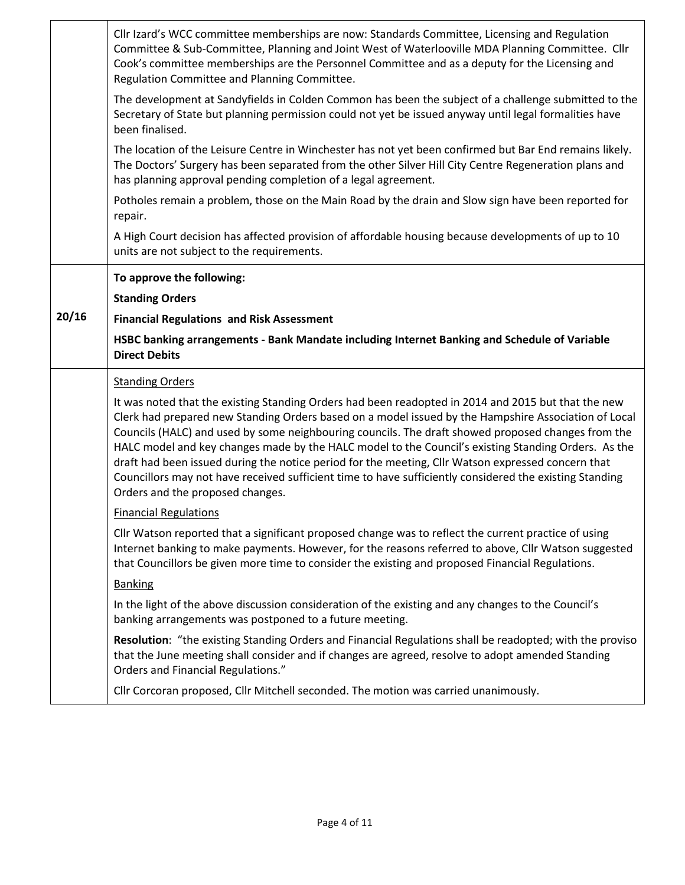|       | Cllr Izard's WCC committee memberships are now: Standards Committee, Licensing and Regulation<br>Committee & Sub-Committee, Planning and Joint West of Waterlooville MDA Planning Committee. Cllr<br>Cook's committee memberships are the Personnel Committee and as a deputy for the Licensing and<br>Regulation Committee and Planning Committee.                                                                      |  |  |  |  |  |
|-------|--------------------------------------------------------------------------------------------------------------------------------------------------------------------------------------------------------------------------------------------------------------------------------------------------------------------------------------------------------------------------------------------------------------------------|--|--|--|--|--|
|       | The development at Sandyfields in Colden Common has been the subject of a challenge submitted to the<br>Secretary of State but planning permission could not yet be issued anyway until legal formalities have<br>been finalised.                                                                                                                                                                                        |  |  |  |  |  |
|       | The location of the Leisure Centre in Winchester has not yet been confirmed but Bar End remains likely.<br>The Doctors' Surgery has been separated from the other Silver Hill City Centre Regeneration plans and<br>has planning approval pending completion of a legal agreement.                                                                                                                                       |  |  |  |  |  |
|       | Potholes remain a problem, those on the Main Road by the drain and Slow sign have been reported for<br>repair.                                                                                                                                                                                                                                                                                                           |  |  |  |  |  |
|       | A High Court decision has affected provision of affordable housing because developments of up to 10<br>units are not subject to the requirements.                                                                                                                                                                                                                                                                        |  |  |  |  |  |
|       | To approve the following:                                                                                                                                                                                                                                                                                                                                                                                                |  |  |  |  |  |
|       | <b>Standing Orders</b>                                                                                                                                                                                                                                                                                                                                                                                                   |  |  |  |  |  |
| 20/16 | <b>Financial Regulations and Risk Assessment</b>                                                                                                                                                                                                                                                                                                                                                                         |  |  |  |  |  |
|       | HSBC banking arrangements - Bank Mandate including Internet Banking and Schedule of Variable<br><b>Direct Debits</b>                                                                                                                                                                                                                                                                                                     |  |  |  |  |  |
|       | <b>Standing Orders</b>                                                                                                                                                                                                                                                                                                                                                                                                   |  |  |  |  |  |
|       | It was noted that the existing Standing Orders had been readopted in 2014 and 2015 but that the new<br>Clerk had prepared new Standing Orders based on a model issued by the Hampshire Association of Local<br>Councils (HALC) and used by some neighbouring councils. The draft showed proposed changes from the<br>HALC model and key changes made by the HALC model to the Council's existing Standing Orders. As the |  |  |  |  |  |
|       | draft had been issued during the notice period for the meeting, Cllr Watson expressed concern that<br>Councillors may not have received sufficient time to have sufficiently considered the existing Standing<br>Orders and the proposed changes.                                                                                                                                                                        |  |  |  |  |  |
|       | <b>Financial Regulations</b>                                                                                                                                                                                                                                                                                                                                                                                             |  |  |  |  |  |
|       | Cllr Watson reported that a significant proposed change was to reflect the current practice of using<br>Internet banking to make payments. However, for the reasons referred to above, Cllr Watson suggested<br>that Councillors be given more time to consider the existing and proposed Financial Regulations.                                                                                                         |  |  |  |  |  |
|       | <b>Banking</b>                                                                                                                                                                                                                                                                                                                                                                                                           |  |  |  |  |  |
|       | In the light of the above discussion consideration of the existing and any changes to the Council's<br>banking arrangements was postponed to a future meeting.                                                                                                                                                                                                                                                           |  |  |  |  |  |
|       | Resolution: "the existing Standing Orders and Financial Regulations shall be readopted; with the proviso<br>that the June meeting shall consider and if changes are agreed, resolve to adopt amended Standing<br>Orders and Financial Regulations."                                                                                                                                                                      |  |  |  |  |  |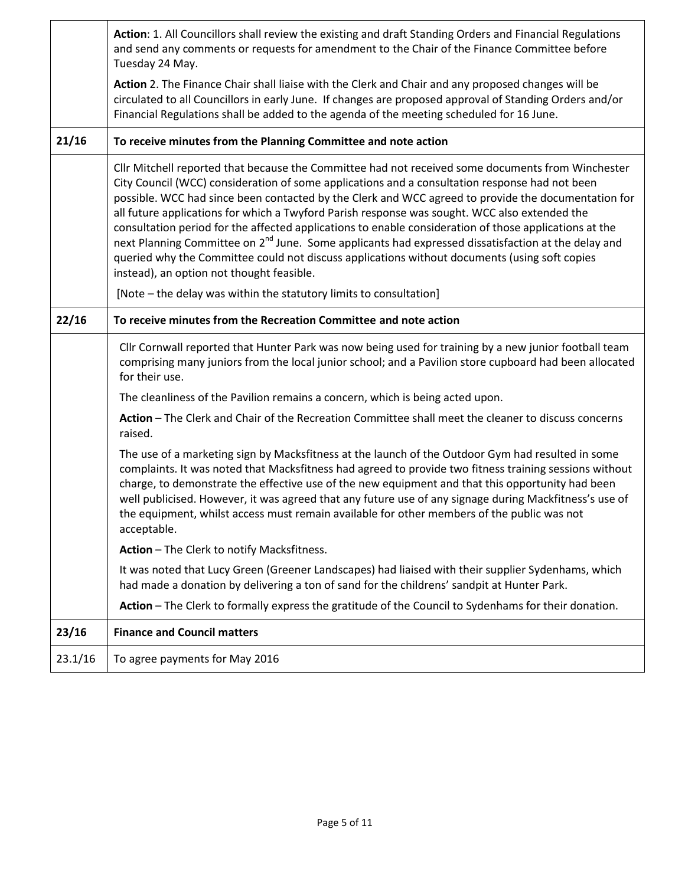|         | Action: 1. All Councillors shall review the existing and draft Standing Orders and Financial Regulations<br>and send any comments or requests for amendment to the Chair of the Finance Committee before<br>Tuesday 24 May.                                                                                                                                                                                                                                                                                                                                                                                                                                                                                                                                                            |  |  |  |  |
|---------|----------------------------------------------------------------------------------------------------------------------------------------------------------------------------------------------------------------------------------------------------------------------------------------------------------------------------------------------------------------------------------------------------------------------------------------------------------------------------------------------------------------------------------------------------------------------------------------------------------------------------------------------------------------------------------------------------------------------------------------------------------------------------------------|--|--|--|--|
|         | Action 2. The Finance Chair shall liaise with the Clerk and Chair and any proposed changes will be<br>circulated to all Councillors in early June. If changes are proposed approval of Standing Orders and/or<br>Financial Regulations shall be added to the agenda of the meeting scheduled for 16 June.                                                                                                                                                                                                                                                                                                                                                                                                                                                                              |  |  |  |  |
| 21/16   | To receive minutes from the Planning Committee and note action                                                                                                                                                                                                                                                                                                                                                                                                                                                                                                                                                                                                                                                                                                                         |  |  |  |  |
|         | Cllr Mitchell reported that because the Committee had not received some documents from Winchester<br>City Council (WCC) consideration of some applications and a consultation response had not been<br>possible. WCC had since been contacted by the Clerk and WCC agreed to provide the documentation for<br>all future applications for which a Twyford Parish response was sought. WCC also extended the<br>consultation period for the affected applications to enable consideration of those applications at the<br>next Planning Committee on 2 <sup>nd</sup> June. Some applicants had expressed dissatisfaction at the delay and<br>queried why the Committee could not discuss applications without documents (using soft copies<br>instead), an option not thought feasible. |  |  |  |  |
|         | [Note – the delay was within the statutory limits to consultation]                                                                                                                                                                                                                                                                                                                                                                                                                                                                                                                                                                                                                                                                                                                     |  |  |  |  |
| 22/16   | To receive minutes from the Recreation Committee and note action                                                                                                                                                                                                                                                                                                                                                                                                                                                                                                                                                                                                                                                                                                                       |  |  |  |  |
|         | Cllr Cornwall reported that Hunter Park was now being used for training by a new junior football team<br>comprising many juniors from the local junior school; and a Pavilion store cupboard had been allocated<br>for their use.                                                                                                                                                                                                                                                                                                                                                                                                                                                                                                                                                      |  |  |  |  |
|         | The cleanliness of the Pavilion remains a concern, which is being acted upon.                                                                                                                                                                                                                                                                                                                                                                                                                                                                                                                                                                                                                                                                                                          |  |  |  |  |
|         | Action - The Clerk and Chair of the Recreation Committee shall meet the cleaner to discuss concerns<br>raised.                                                                                                                                                                                                                                                                                                                                                                                                                                                                                                                                                                                                                                                                         |  |  |  |  |
|         | The use of a marketing sign by Macksfitness at the launch of the Outdoor Gym had resulted in some<br>complaints. It was noted that Macksfitness had agreed to provide two fitness training sessions without<br>charge, to demonstrate the effective use of the new equipment and that this opportunity had been<br>well publicised. However, it was agreed that any future use of any signage during Mackfitness's use of<br>the equipment, whilst access must remain available for other members of the public was not<br>acceptable.                                                                                                                                                                                                                                                 |  |  |  |  |
|         | Action - The Clerk to notify Macksfitness.                                                                                                                                                                                                                                                                                                                                                                                                                                                                                                                                                                                                                                                                                                                                             |  |  |  |  |
|         | It was noted that Lucy Green (Greener Landscapes) had liaised with their supplier Sydenhams, which<br>had made a donation by delivering a ton of sand for the childrens' sandpit at Hunter Park.                                                                                                                                                                                                                                                                                                                                                                                                                                                                                                                                                                                       |  |  |  |  |
|         | Action - The Clerk to formally express the gratitude of the Council to Sydenhams for their donation.                                                                                                                                                                                                                                                                                                                                                                                                                                                                                                                                                                                                                                                                                   |  |  |  |  |
| 23/16   | <b>Finance and Council matters</b>                                                                                                                                                                                                                                                                                                                                                                                                                                                                                                                                                                                                                                                                                                                                                     |  |  |  |  |
| 23.1/16 | To agree payments for May 2016                                                                                                                                                                                                                                                                                                                                                                                                                                                                                                                                                                                                                                                                                                                                                         |  |  |  |  |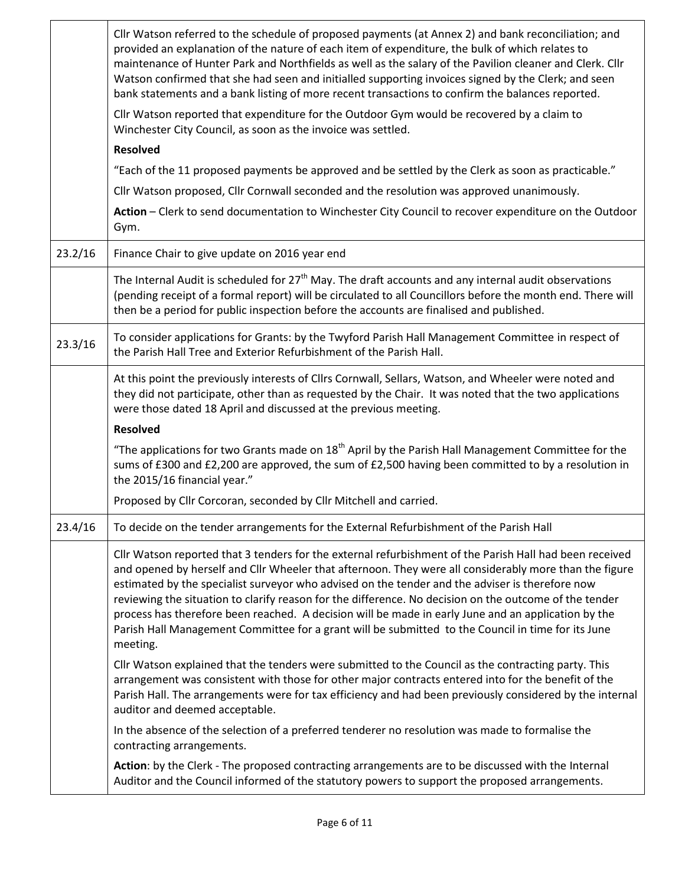|         | Cllr Watson referred to the schedule of proposed payments (at Annex 2) and bank reconciliation; and<br>provided an explanation of the nature of each item of expenditure, the bulk of which relates to<br>maintenance of Hunter Park and Northfields as well as the salary of the Pavilion cleaner and Clerk. Cllr<br>Watson confirmed that she had seen and initialled supporting invoices signed by the Clerk; and seen<br>bank statements and a bank listing of more recent transactions to confirm the balances reported.                                                                                                                           |  |  |  |  |
|---------|---------------------------------------------------------------------------------------------------------------------------------------------------------------------------------------------------------------------------------------------------------------------------------------------------------------------------------------------------------------------------------------------------------------------------------------------------------------------------------------------------------------------------------------------------------------------------------------------------------------------------------------------------------|--|--|--|--|
|         | Cllr Watson reported that expenditure for the Outdoor Gym would be recovered by a claim to<br>Winchester City Council, as soon as the invoice was settled.                                                                                                                                                                                                                                                                                                                                                                                                                                                                                              |  |  |  |  |
|         | <b>Resolved</b>                                                                                                                                                                                                                                                                                                                                                                                                                                                                                                                                                                                                                                         |  |  |  |  |
|         | "Each of the 11 proposed payments be approved and be settled by the Clerk as soon as practicable."                                                                                                                                                                                                                                                                                                                                                                                                                                                                                                                                                      |  |  |  |  |
|         | Cllr Watson proposed, Cllr Cornwall seconded and the resolution was approved unanimously.                                                                                                                                                                                                                                                                                                                                                                                                                                                                                                                                                               |  |  |  |  |
|         | Action - Clerk to send documentation to Winchester City Council to recover expenditure on the Outdoor<br>Gym.                                                                                                                                                                                                                                                                                                                                                                                                                                                                                                                                           |  |  |  |  |
| 23.2/16 | Finance Chair to give update on 2016 year end                                                                                                                                                                                                                                                                                                                                                                                                                                                                                                                                                                                                           |  |  |  |  |
|         | The Internal Audit is scheduled for 27 <sup>th</sup> May. The draft accounts and any internal audit observations<br>(pending receipt of a formal report) will be circulated to all Councillors before the month end. There will<br>then be a period for public inspection before the accounts are finalised and published.                                                                                                                                                                                                                                                                                                                              |  |  |  |  |
| 23.3/16 | To consider applications for Grants: by the Twyford Parish Hall Management Committee in respect of<br>the Parish Hall Tree and Exterior Refurbishment of the Parish Hall.                                                                                                                                                                                                                                                                                                                                                                                                                                                                               |  |  |  |  |
|         | At this point the previously interests of Cllrs Cornwall, Sellars, Watson, and Wheeler were noted and<br>they did not participate, other than as requested by the Chair. It was noted that the two applications<br>were those dated 18 April and discussed at the previous meeting.                                                                                                                                                                                                                                                                                                                                                                     |  |  |  |  |
|         | <b>Resolved</b>                                                                                                                                                                                                                                                                                                                                                                                                                                                                                                                                                                                                                                         |  |  |  |  |
|         | "The applications for two Grants made on $18th$ April by the Parish Hall Management Committee for the<br>sums of £300 and £2,200 are approved, the sum of £2,500 having been committed to by a resolution in<br>the 2015/16 financial year."                                                                                                                                                                                                                                                                                                                                                                                                            |  |  |  |  |
|         | Proposed by Cllr Corcoran, seconded by Cllr Mitchell and carried.                                                                                                                                                                                                                                                                                                                                                                                                                                                                                                                                                                                       |  |  |  |  |
| 23.4/16 | To decide on the tender arrangements for the External Refurbishment of the Parish Hall                                                                                                                                                                                                                                                                                                                                                                                                                                                                                                                                                                  |  |  |  |  |
|         | Cllr Watson reported that 3 tenders for the external refurbishment of the Parish Hall had been received<br>and opened by herself and Cllr Wheeler that afternoon. They were all considerably more than the figure<br>estimated by the specialist surveyor who advised on the tender and the adviser is therefore now<br>reviewing the situation to clarify reason for the difference. No decision on the outcome of the tender<br>process has therefore been reached. A decision will be made in early June and an application by the<br>Parish Hall Management Committee for a grant will be submitted to the Council in time for its June<br>meeting. |  |  |  |  |
|         | Cllr Watson explained that the tenders were submitted to the Council as the contracting party. This<br>arrangement was consistent with those for other major contracts entered into for the benefit of the<br>Parish Hall. The arrangements were for tax efficiency and had been previously considered by the internal<br>auditor and deemed acceptable.                                                                                                                                                                                                                                                                                                |  |  |  |  |
|         | In the absence of the selection of a preferred tenderer no resolution was made to formalise the<br>contracting arrangements.                                                                                                                                                                                                                                                                                                                                                                                                                                                                                                                            |  |  |  |  |
|         | Action: by the Clerk - The proposed contracting arrangements are to be discussed with the Internal<br>Auditor and the Council informed of the statutory powers to support the proposed arrangements.                                                                                                                                                                                                                                                                                                                                                                                                                                                    |  |  |  |  |

Ē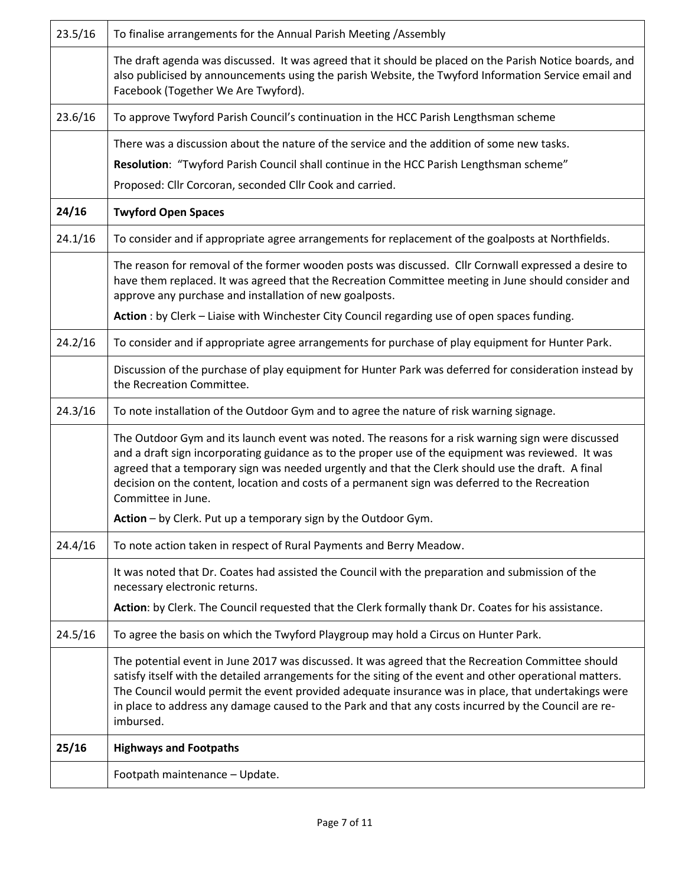|         | Footpath maintenance - Update.                                                                                                                                                                                                                                                                                                                                                                                                             |  |  |  |  |
|---------|--------------------------------------------------------------------------------------------------------------------------------------------------------------------------------------------------------------------------------------------------------------------------------------------------------------------------------------------------------------------------------------------------------------------------------------------|--|--|--|--|
| 25/16   | <b>Highways and Footpaths</b>                                                                                                                                                                                                                                                                                                                                                                                                              |  |  |  |  |
|         | The potential event in June 2017 was discussed. It was agreed that the Recreation Committee should<br>satisfy itself with the detailed arrangements for the siting of the event and other operational matters.<br>The Council would permit the event provided adequate insurance was in place, that undertakings were<br>in place to address any damage caused to the Park and that any costs incurred by the Council are re-<br>imbursed. |  |  |  |  |
| 24.5/16 | To agree the basis on which the Twyford Playgroup may hold a Circus on Hunter Park.                                                                                                                                                                                                                                                                                                                                                        |  |  |  |  |
|         | Action: by Clerk. The Council requested that the Clerk formally thank Dr. Coates for his assistance.                                                                                                                                                                                                                                                                                                                                       |  |  |  |  |
|         | It was noted that Dr. Coates had assisted the Council with the preparation and submission of the<br>necessary electronic returns.                                                                                                                                                                                                                                                                                                          |  |  |  |  |
| 24.4/16 | To note action taken in respect of Rural Payments and Berry Meadow.                                                                                                                                                                                                                                                                                                                                                                        |  |  |  |  |
|         | Action - by Clerk. Put up a temporary sign by the Outdoor Gym.                                                                                                                                                                                                                                                                                                                                                                             |  |  |  |  |
|         | The Outdoor Gym and its launch event was noted. The reasons for a risk warning sign were discussed<br>and a draft sign incorporating guidance as to the proper use of the equipment was reviewed. It was<br>agreed that a temporary sign was needed urgently and that the Clerk should use the draft. A final<br>decision on the content, location and costs of a permanent sign was deferred to the Recreation<br>Committee in June.      |  |  |  |  |
| 24.3/16 | To note installation of the Outdoor Gym and to agree the nature of risk warning signage.                                                                                                                                                                                                                                                                                                                                                   |  |  |  |  |
|         | Discussion of the purchase of play equipment for Hunter Park was deferred for consideration instead by<br>the Recreation Committee.                                                                                                                                                                                                                                                                                                        |  |  |  |  |
| 24.2/16 | To consider and if appropriate agree arrangements for purchase of play equipment for Hunter Park.                                                                                                                                                                                                                                                                                                                                          |  |  |  |  |
|         | Action : by Clerk - Liaise with Winchester City Council regarding use of open spaces funding.                                                                                                                                                                                                                                                                                                                                              |  |  |  |  |
|         | The reason for removal of the former wooden posts was discussed. Cllr Cornwall expressed a desire to<br>have them replaced. It was agreed that the Recreation Committee meeting in June should consider and<br>approve any purchase and installation of new goalposts.                                                                                                                                                                     |  |  |  |  |
| 24.1/16 | To consider and if appropriate agree arrangements for replacement of the goalposts at Northfields.                                                                                                                                                                                                                                                                                                                                         |  |  |  |  |
| 24/16   | <b>Twyford Open Spaces</b>                                                                                                                                                                                                                                                                                                                                                                                                                 |  |  |  |  |
|         | Proposed: Cllr Corcoran, seconded Cllr Cook and carried.                                                                                                                                                                                                                                                                                                                                                                                   |  |  |  |  |
|         | Resolution: "Twyford Parish Council shall continue in the HCC Parish Lengthsman scheme"                                                                                                                                                                                                                                                                                                                                                    |  |  |  |  |
|         | There was a discussion about the nature of the service and the addition of some new tasks.                                                                                                                                                                                                                                                                                                                                                 |  |  |  |  |
| 23.6/16 | To approve Twyford Parish Council's continuation in the HCC Parish Lengthsman scheme                                                                                                                                                                                                                                                                                                                                                       |  |  |  |  |
|         | The draft agenda was discussed. It was agreed that it should be placed on the Parish Notice boards, and<br>also publicised by announcements using the parish Website, the Twyford Information Service email and<br>Facebook (Together We Are Twyford).                                                                                                                                                                                     |  |  |  |  |
| 23.5/16 | To finalise arrangements for the Annual Parish Meeting /Assembly                                                                                                                                                                                                                                                                                                                                                                           |  |  |  |  |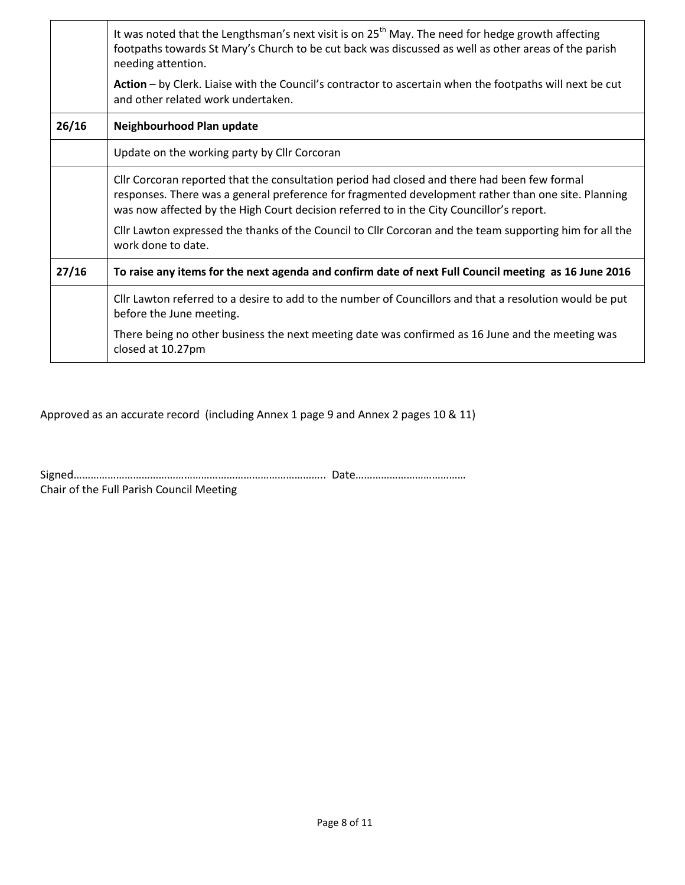|       | It was noted that the Lengthsman's next visit is on $25th$ May. The need for hedge growth affecting<br>footpaths towards St Mary's Church to be cut back was discussed as well as other areas of the parish<br>needing attention.                                                               |  |  |  |  |
|-------|-------------------------------------------------------------------------------------------------------------------------------------------------------------------------------------------------------------------------------------------------------------------------------------------------|--|--|--|--|
|       | Action - by Clerk. Liaise with the Council's contractor to ascertain when the footpaths will next be cut<br>and other related work undertaken.                                                                                                                                                  |  |  |  |  |
| 26/16 | Neighbourhood Plan update                                                                                                                                                                                                                                                                       |  |  |  |  |
|       | Update on the working party by Cllr Corcoran                                                                                                                                                                                                                                                    |  |  |  |  |
|       | Cllr Corcoran reported that the consultation period had closed and there had been few formal<br>responses. There was a general preference for fragmented development rather than one site. Planning<br>was now affected by the High Court decision referred to in the City Councillor's report. |  |  |  |  |
|       | Cllr Lawton expressed the thanks of the Council to Cllr Corcoran and the team supporting him for all the<br>work done to date.                                                                                                                                                                  |  |  |  |  |
| 27/16 | To raise any items for the next agenda and confirm date of next Full Council meeting as 16 June 2016                                                                                                                                                                                            |  |  |  |  |
|       | Cllr Lawton referred to a desire to add to the number of Councillors and that a resolution would be put<br>before the June meeting.                                                                                                                                                             |  |  |  |  |
|       | There being no other business the next meeting date was confirmed as 16 June and the meeting was<br>closed at 10.27pm                                                                                                                                                                           |  |  |  |  |

Approved as an accurate record (including Annex 1 page 9 and Annex 2 pages 10 & 11)

Signed…………………………………………………………………………….. Date…………………………………

Chair of the Full Parish Council Meeting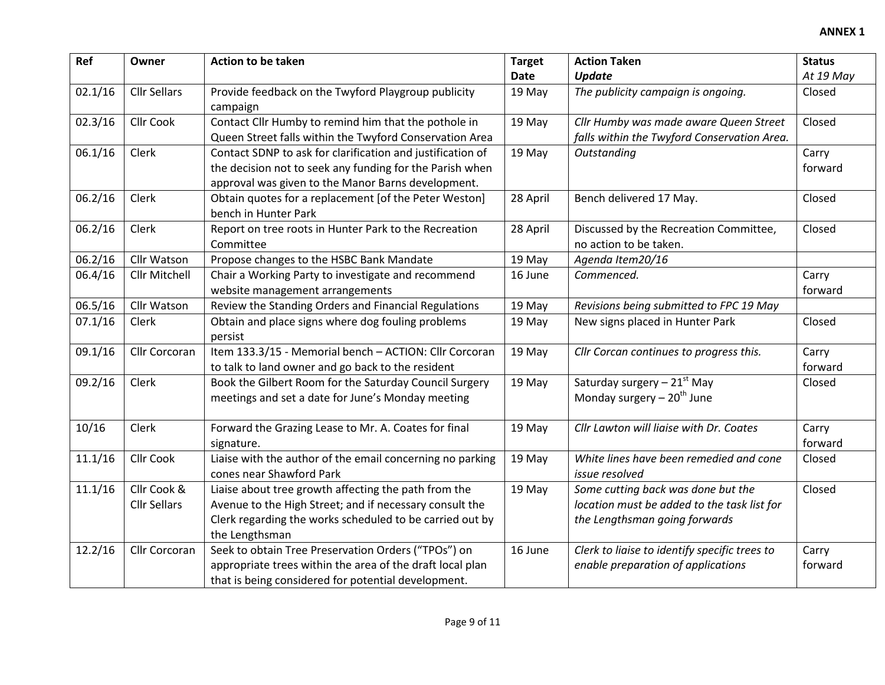| Ref     | Owner               | Action to be taken                                                                    | <b>Target</b> | <b>Action Taken</b>                                       | <b>Status</b> |
|---------|---------------------|---------------------------------------------------------------------------------------|---------------|-----------------------------------------------------------|---------------|
|         |                     |                                                                                       | Date          | <b>Update</b>                                             | At 19 May     |
| 02.1/16 | <b>Cllr Sellars</b> | Provide feedback on the Twyford Playgroup publicity                                   | 19 May        | The publicity campaign is ongoing.                        | Closed        |
|         |                     | campaign                                                                              |               |                                                           |               |
| 02.3/16 | <b>Cllr Cook</b>    | Contact Cllr Humby to remind him that the pothole in                                  | 19 May        | Cllr Humby was made aware Queen Street                    | Closed        |
|         |                     | Queen Street falls within the Twyford Conservation Area                               |               | falls within the Twyford Conservation Area.               |               |
| 06.1/16 | Clerk               | Contact SDNP to ask for clarification and justification of                            | 19 May        | Outstanding                                               | Carry         |
|         |                     | the decision not to seek any funding for the Parish when                              |               |                                                           | forward       |
|         |                     | approval was given to the Manor Barns development.                                    |               |                                                           |               |
| 06.2/16 | Clerk               | Obtain quotes for a replacement [of the Peter Weston]                                 | 28 April      | Bench delivered 17 May.                                   | Closed        |
|         |                     | bench in Hunter Park                                                                  |               |                                                           |               |
| 06.2/16 | Clerk               | Report on tree roots in Hunter Park to the Recreation                                 | 28 April      | Discussed by the Recreation Committee,                    | Closed        |
|         |                     | Committee                                                                             |               | no action to be taken.                                    |               |
| 06.2/16 | Cllr Watson         | Propose changes to the HSBC Bank Mandate                                              | 19 May        | Agenda Item20/16                                          |               |
| 06.4/16 | Cllr Mitchell       | Chair a Working Party to investigate and recommend                                    | 16 June       | Commenced.                                                | Carry         |
|         |                     | website management arrangements                                                       |               |                                                           | forward       |
| 06.5/16 | Cllr Watson         | Review the Standing Orders and Financial Regulations                                  | 19 May        | Revisions being submitted to FPC 19 May                   |               |
| 07.1/16 | Clerk               | Obtain and place signs where dog fouling problems                                     | 19 May        | New signs placed in Hunter Park                           | Closed        |
|         |                     | persist                                                                               |               |                                                           |               |
| 09.1/16 | Cllr Corcoran       | Item 133.3/15 - Memorial bench - ACTION: Cllr Corcoran                                | 19 May        | Cllr Corcan continues to progress this.                   | Carry         |
|         |                     | to talk to land owner and go back to the resident                                     |               |                                                           | forward       |
| 09.2/16 | Clerk               | Book the Gilbert Room for the Saturday Council Surgery                                | 19 May        | Saturday surgery - 21st May                               | Closed        |
|         |                     | meetings and set a date for June's Monday meeting                                     |               | Monday surgery $-20th$ June                               |               |
|         |                     |                                                                                       |               |                                                           |               |
| 10/16   | Clerk               | Forward the Grazing Lease to Mr. A. Coates for final                                  | 19 May        | Cllr Lawton will liaise with Dr. Coates                   | Carry         |
|         |                     | signature.                                                                            |               |                                                           | forward       |
| 11.1/16 | <b>Cllr Cook</b>    | Liaise with the author of the email concerning no parking<br>cones near Shawford Park | 19 May        | White lines have been remedied and cone<br>issue resolved | Closed        |
| 11.1/16 | Cllr Cook &         | Liaise about tree growth affecting the path from the                                  | 19 May        | Some cutting back was done but the                        | Closed        |
|         | <b>Cllr Sellars</b> | Avenue to the High Street; and if necessary consult the                               |               | location must be added to the task list for               |               |
|         |                     | Clerk regarding the works scheduled to be carried out by                              |               | the Lengthsman going forwards                             |               |
|         |                     | the Lengthsman                                                                        |               |                                                           |               |
| 12.2/16 | Cllr Corcoran       | Seek to obtain Tree Preservation Orders ("TPOs") on                                   | 16 June       | Clerk to liaise to identify specific trees to             | Carry         |
|         |                     | appropriate trees within the area of the draft local plan                             |               | enable preparation of applications                        | forward       |
|         |                     | that is being considered for potential development.                                   |               |                                                           |               |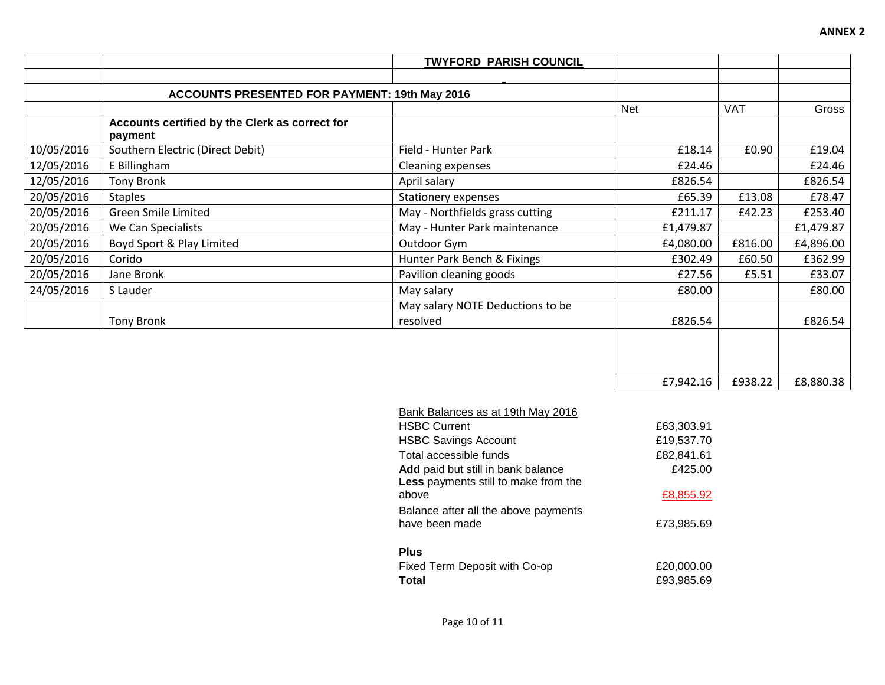|            |                                                           | <b>TWYFORD PARISH COUNCIL</b>    |            |            |           |
|------------|-----------------------------------------------------------|----------------------------------|------------|------------|-----------|
|            |                                                           |                                  |            |            |           |
|            | <b>ACCOUNTS PRESENTED FOR PAYMENT: 19th May 2016</b>      |                                  |            |            |           |
|            |                                                           |                                  | <b>Net</b> | <b>VAT</b> | Gross     |
|            | Accounts certified by the Clerk as correct for<br>payment |                                  |            |            |           |
| 10/05/2016 | Southern Electric (Direct Debit)                          | Field - Hunter Park              | £18.14     | £0.90      | £19.04    |
| 12/05/2016 | E Billingham                                              | Cleaning expenses                | £24.46     |            | £24.46    |
| 12/05/2016 | <b>Tony Bronk</b>                                         | April salary                     | £826.54    |            | £826.54   |
| 20/05/2016 | <b>Staples</b>                                            | <b>Stationery expenses</b>       | £65.39     | £13.08     | £78.47    |
| 20/05/2016 | <b>Green Smile Limited</b>                                | May - Northfields grass cutting  | £211.17    | £42.23     | £253.40   |
| 20/05/2016 | We Can Specialists                                        | May - Hunter Park maintenance    | £1,479.87  |            | £1,479.87 |
| 20/05/2016 | Boyd Sport & Play Limited                                 | Outdoor Gym                      | £4,080.00  | £816.00    | £4,896.00 |
| 20/05/2016 | Corido                                                    | Hunter Park Bench & Fixings      | £302.49    | £60.50     | £362.99   |
| 20/05/2016 | Jane Bronk                                                | Pavilion cleaning goods          | £27.56     | £5.51      | £33.07    |
| 24/05/2016 | S Lauder                                                  | May salary                       | £80.00     |            | £80.00    |
|            |                                                           | May salary NOTE Deductions to be |            |            |           |
|            | <b>Tony Bronk</b>                                         | resolved                         | £826.54    |            | £826.54   |
|            |                                                           |                                  |            |            |           |
|            |                                                           |                                  |            |            |           |
|            |                                                           |                                  |            |            |           |
|            |                                                           |                                  | £7,942.16  | £938.22    | £8,880.38 |

| Bank Balances as at 19th May 2016                                                 |            |
|-----------------------------------------------------------------------------------|------------|
| <b>HSBC Current</b>                                                               | £63,303.91 |
| <b>HSBC Savings Account</b>                                                       | £19,537.70 |
| Total accessible funds                                                            | £82,841.61 |
| Add paid but still in bank balance<br><b>Less</b> payments still to make from the | £425.00    |
| above                                                                             | £8,855.92  |
| Balance after all the above payments<br>have been made                            | £73,985.69 |
| Plus                                                                              |            |
| Fixed Term Deposit with Co-op                                                     | £20,000.00 |
| Total                                                                             | £93.985.69 |

**ANNEX 2**